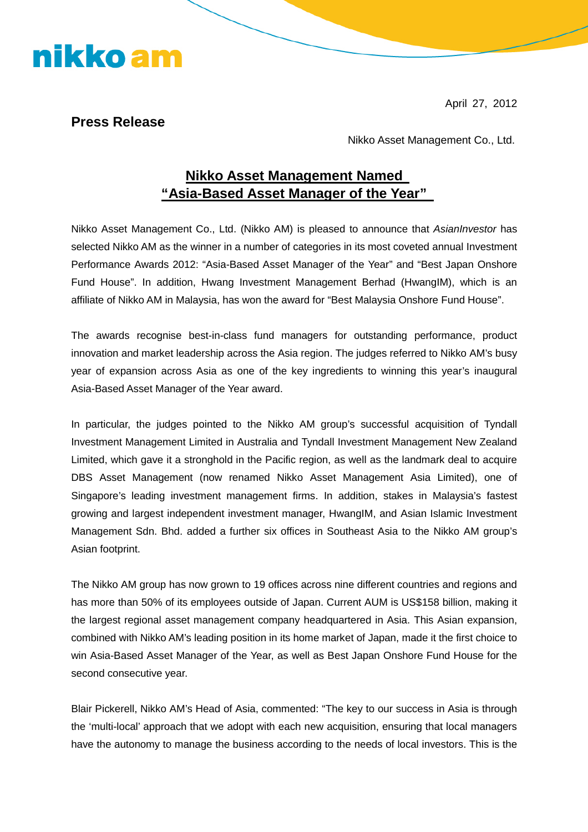April 27, 2012

## **Press Release**

nikko am

Nikko Asset Management Co., Ltd.

## **Nikko Asset Management Named "Asia-Based Asset Manager of the Year"**

Nikko Asset Management Co., Ltd. (Nikko AM) is pleased to announce that *AsianInvestor* has selected Nikko AM as the winner in a number of categories in its most coveted annual Investment Performance Awards 2012: "Asia-Based Asset Manager of the Year" and "Best Japan Onshore Fund House". In addition, Hwang Investment Management Berhad (HwangIM), which is an affiliate of Nikko AM in Malaysia, has won the award for "Best Malaysia Onshore Fund House".

The awards recognise best-in-class fund managers for outstanding performance, product innovation and market leadership across the Asia region. The judges referred to Nikko AM's busy year of expansion across Asia as one of the key ingredients to winning this year's inaugural Asia-Based Asset Manager of the Year award.

In particular, the judges pointed to the Nikko AM group's successful acquisition of Tyndall Investment Management Limited in Australia and Tyndall Investment Management New Zealand Limited, which gave it a stronghold in the Pacific region, as well as the landmark deal to acquire DBS Asset Management (now renamed Nikko Asset Management Asia Limited), one of Singapore's leading investment management firms. In addition, stakes in Malaysia's fastest growing and largest independent investment manager, HwangIM, and Asian Islamic Investment Management Sdn. Bhd. added a further six offices in Southeast Asia to the Nikko AM group's Asian footprint.

The Nikko AM group has now grown to 19 offices across nine different countries and regions and has more than 50% of its employees outside of Japan. Current AUM is US\$158 billion, making it the largest regional asset management company headquartered in Asia. This Asian expansion, combined with Nikko AM's leading position in its home market of Japan, made it the first choice to win Asia-Based Asset Manager of the Year, as well as Best Japan Onshore Fund House for the second consecutive year.

Blair Pickerell, Nikko AM's Head of Asia, commented: "The key to our success in Asia is through the 'multi-local' approach that we adopt with each new acquisition, ensuring that local managers have the autonomy to manage the business according to the needs of local investors. This is the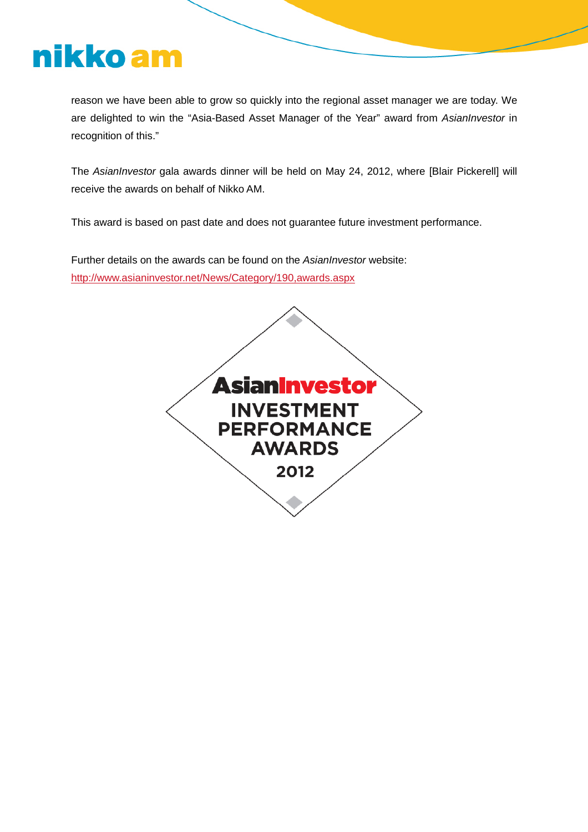## nikko am

reason we have been able to grow so quickly into the regional asset manager we are today. We are delighted to win the "Asia-Based Asset Manager of the Year" award from *AsianInvestor* in recognition of this."

The *AsianInvestor* gala awards dinner will be held on May 24, 2012, where [Blair Pickerell] will receive the awards on behalf of Nikko AM.

This award is based on past date and does not guarantee future investment performance.

Further details on the awards can be found on the *AsianInvestor* website: http://www.asianinvestor.net/News/Category/190,awards.aspx

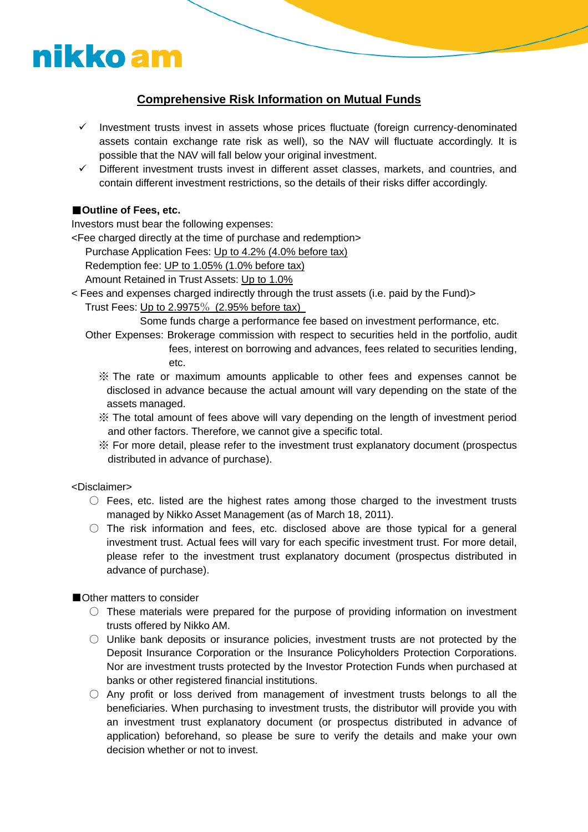# nikko am

## **Comprehensive Risk Information on Mutual Funds**

- $\checkmark$  Investment trusts invest in assets whose prices fluctuate (foreign currency-denominated assets contain exchange rate risk as well), so the NAV will fluctuate accordingly. It is possible that the NAV will fall below your original investment.
- $\checkmark$  Different investment trusts invest in different asset classes, markets, and countries, and contain different investment restrictions, so the details of their risks differ accordingly.

### ■**Outline of Fees, etc.**

Investors must bear the following expenses:

<Fee charged directly at the time of purchase and redemption>

Purchase Application Fees: Up to 4.2% (4.0% before tax)

Redemption fee: UP to 1.05% (1.0% before tax)

Amount Retained in Trust Assets: Up to 1.0%

< Fees and expenses charged indirectly through the trust assets (i.e. paid by the Fund)>

### Trust Fees: Up to  $2.9975\%$  (2.95% before tax)

Some funds charge a performance fee based on investment performance, etc.

- Other Expenses: Brokerage commission with respect to securities held in the portfolio, audit fees, interest on borrowing and advances, fees related to securities lending, etc.
	- ※ The rate or maximum amounts applicable to other fees and expenses cannot be disclosed in advance because the actual amount will vary depending on the state of the assets managed.
	- ※ The total amount of fees above will vary depending on the length of investment period and other factors. Therefore, we cannot give a specific total.
	- ※ For more detail, please refer to the investment trust explanatory document (prospectus distributed in advance of purchase).

### <Disclaimer>

- $\circ$  Fees, etc. listed are the highest rates among those charged to the investment trusts managed by Nikko Asset Management (as of March 18, 2011).
- $\circ$  The risk information and fees, etc. disclosed above are those typical for a general investment trust. Actual fees will vary for each specific investment trust. For more detail, please refer to the investment trust explanatory document (prospectus distributed in advance of purchase).

### ■Other matters to consider

- $\circ$  These materials were prepared for the purpose of providing information on investment trusts offered by Nikko AM.
- $\circ$  Unlike bank deposits or insurance policies, investment trusts are not protected by the Deposit Insurance Corporation or the Insurance Policyholders Protection Corporations. Nor are investment trusts protected by the Investor Protection Funds when purchased at banks or other registered financial institutions.
- $\circ$  Any profit or loss derived from management of investment trusts belongs to all the beneficiaries. When purchasing to investment trusts, the distributor will provide you with an investment trust explanatory document (or prospectus distributed in advance of application) beforehand, so please be sure to verify the details and make your own decision whether or not to invest.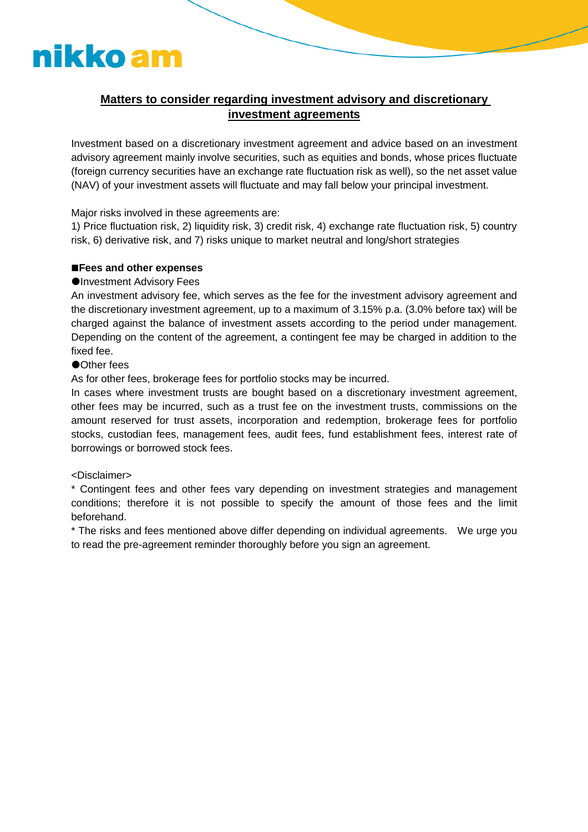## nikko am

### **Matters to consider regarding investment advisory and discretionary investment agreements**

Investment based on a discretionary investment agreement and advice based on an investment advisory agreement mainly involve securities, such as equities and bonds, whose prices fluctuate (foreign currency securities have an exchange rate fluctuation risk as well), so the net asset value (NAV) of your investment assets will fluctuate and may fall below your principal investment.

Major risks involved in these agreements are:

1) Price fluctuation risk, 2) liquidity risk, 3) credit risk, 4) exchange rate fluctuation risk, 5) country risk, 6) derivative risk, and 7) risks unique to market neutral and long/short strategies

#### **Fees and other expenses**

#### **OInvestment Advisory Fees**

An investment advisory fee, which serves as the fee for the investment advisory agreement and the discretionary investment agreement, up to a maximum of 3.15% p.a. (3.0% before tax) will be charged against the balance of investment assets according to the period under management. Depending on the content of the agreement, a contingent fee may be charged in addition to the fixed fee.

#### **Other fees**

As for other fees, brokerage fees for portfolio stocks may be incurred.

In cases where investment trusts are bought based on a discretionary investment agreement, other fees may be incurred, such as a trust fee on the investment trusts, commissions on the amount reserved for trust assets, incorporation and redemption, brokerage fees for portfolio stocks, custodian fees, management fees, audit fees, fund establishment fees, interest rate of borrowings or borrowed stock fees.

#### <Disclaimer>

\* Contingent fees and other fees vary depending on investment strategies and management conditions; therefore it is not possible to specify the amount of those fees and the limit beforehand.

\* The risks and fees mentioned above differ depending on individual agreements. We urge you to read the pre-agreement reminder thoroughly before you sign an agreement.